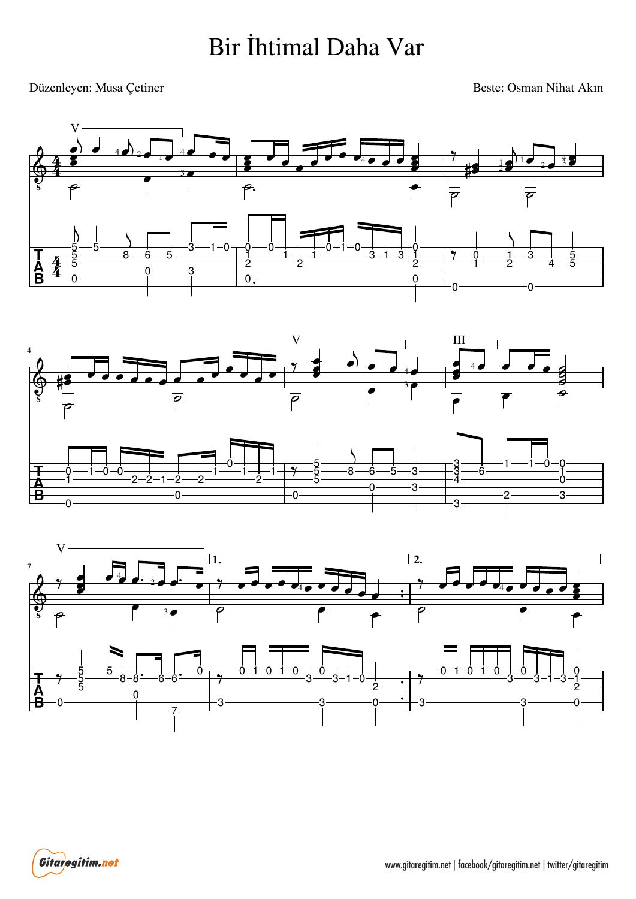## Bir İhtimal Daha Var

Düzenleyen: Musa Çetiner

Beste: Osman Nihat Akın







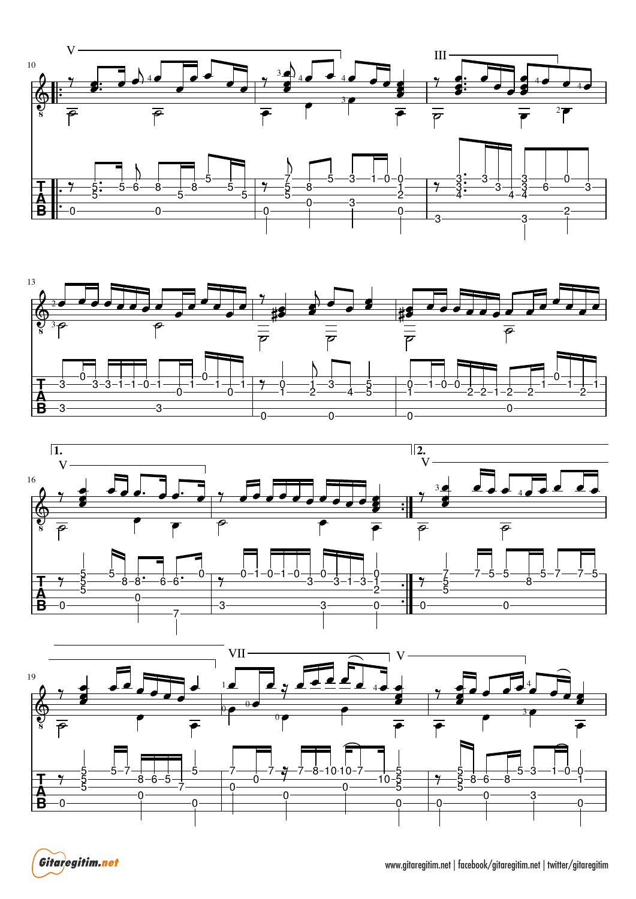